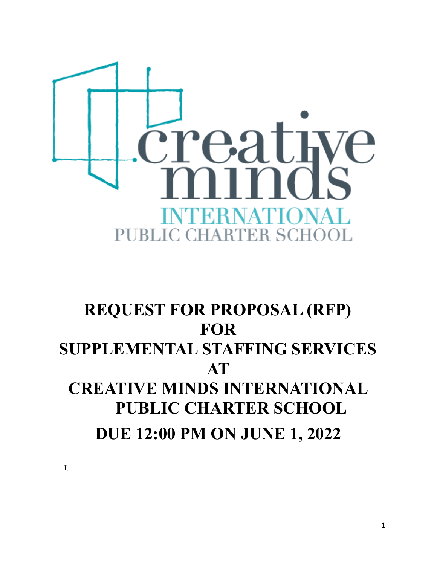

# **REQUEST FOR PROPOSAL (RFP) FOR SUPPLEMENTAL STAFFING SERVICES AT CREATIVE MINDS INTERNATIONAL PUBLIC CHARTER SCHOOL DUE 12:00 PM ON JUNE 1, 2022**

I.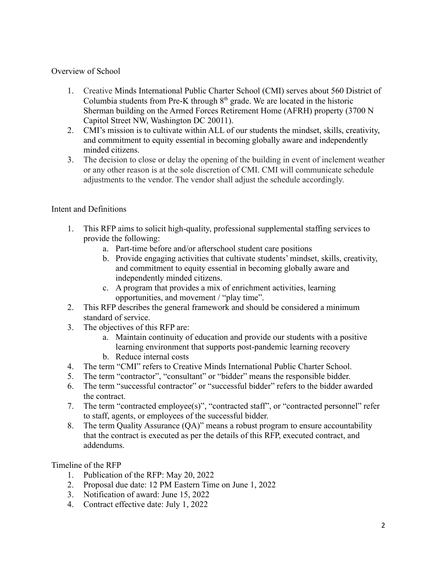## Overview of School

- 1. Creative Minds International Public Charter School (CMI) serves about 560 District of Columbia students from Pre-K through  $8<sup>th</sup>$  grade. We are located in the historic Sherman building on the Armed Forces Retirement Home (AFRH) property (3700 N Capitol Street NW, Washington DC 20011).
- 2. CMI's mission is to cultivate within ALL of our students the mindset, skills, creativity, and commitment to equity essential in becoming globally aware and independently minded citizens.
- 3. The decision to close or delay the opening of the building in event of inclement weather or any other reason is at the sole discretion of CMI. CMI will communicate schedule adjustments to the vendor. The vendor shall adjust the schedule accordingly.

# Intent and Definitions

- 1. This RFP aims to solicit high-quality, professional supplemental staffing services to provide the following:
	- a. Part-time before and/or afterschool student care positions
	- b. Provide engaging activities that cultivate students' mindset, skills, creativity, and commitment to equity essential in becoming globally aware and independently minded citizens.
	- c. A program that provides a mix of enrichment activities, learning opportunities, and movement / "play time".
- 2. This RFP describes the general framework and should be considered a minimum standard of service.
- 3. The objectives of this RFP are:
	- a. Maintain continuity of education and provide our students with a positive learning environment that supports post-pandemic learning recovery
	- b. Reduce internal costs
- 4. The term "CMI" refers to Creative Minds International Public Charter School.
- 5. The term "contractor", "consultant" or "bidder" means the responsible bidder.
- 6. The term "successful contractor" or "successful bidder" refers to the bidder awarded the contract.
- 7. The term "contracted employee(s)", "contracted staff", or "contracted personnel" refer to staff, agents, or employees of the successful bidder.
- 8. The term Quality Assurance (QA)" means a robust program to ensure accountability that the contract is executed as per the details of this RFP, executed contract, and addendums.

Timeline of the RFP

- 1. Publication of the RFP: May 20, 2022
- 2. Proposal due date: 12 PM Eastern Time on June 1, 2022
- 3. Notification of award: June 15, 2022
- 4. Contract effective date: July 1, 2022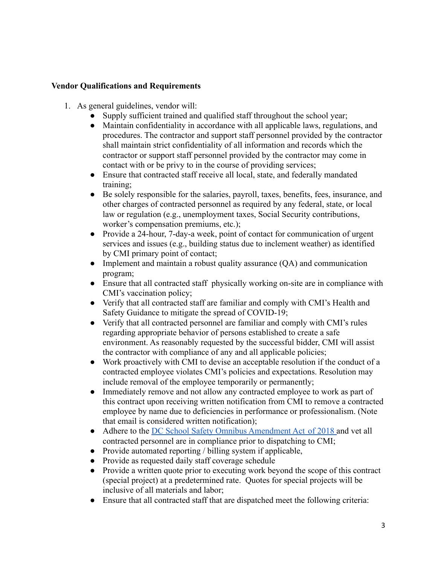#### **Vendor Qualifications and Requirements**

- 1. As general guidelines, vendor will:
	- Supply sufficient trained and qualified staff throughout the school year;
	- Maintain confidentiality in accordance with all applicable laws, regulations, and procedures. The contractor and support staff personnel provided by the contractor shall maintain strict confidentiality of all information and records which the contractor or support staff personnel provided by the contractor may come in contact with or be privy to in the course of providing services;
	- Ensure that contracted staff receive all local, state, and federally mandated training;
	- Be solely responsible for the salaries, payroll, taxes, benefits, fees, insurance, and other charges of contracted personnel as required by any federal, state, or local law or regulation (e.g., unemployment taxes, Social Security contributions, worker's compensation premiums, etc.);
	- Provide a 24-hour, 7-day-a week, point of contact for communication of urgent services and issues (e.g., building status due to inclement weather) as identified by CMI primary point of contact;
	- Implement and maintain a robust quality assurance  $(QA)$  and communication program;
	- Ensure that all contracted staff physically working on-site are in compliance with CMI's vaccination policy;
	- Verify that all contracted staff are familiar and comply with CMI's Health and Safety Guidance to mitigate the spread of COVID-19;
	- Verify that all contracted personnel are familiar and comply with CMI's rules regarding appropriate behavior of persons established to create a safe environment. As reasonably requested by the successful bidder, CMI will assist the contractor with compliance of any and all applicable policies;
	- Work proactively with CMI to devise an acceptable resolution if the conduct of a contracted employee violates CMI's policies and expectations. Resolution may include removal of the employee temporarily or permanently;
	- Immediately remove and not allow any contracted employee to work as part of this contract upon receiving written notification from CMI to remove a contracted employee by name due to deficiencies in performance or professionalism. (Note that email is considered written notification);
	- Adhere to the [DC School Safety Omnibus Amendment Act](https://osse.dc.gov/page/school-safety-omnibus-amendment-act-2018-ssoaa) of 2018 and vet all contracted personnel are in compliance prior to dispatching to CMI;
	- Provide automated reporting / billing system if applicable,
	- Provide as requested daily staff coverage schedule
	- Provide a written quote prior to executing work beyond the scope of this contract (special project) at a predetermined rate. Quotes for special projects will be inclusive of all materials and labor;
	- Ensure that all contracted staff that are dispatched meet the following criteria: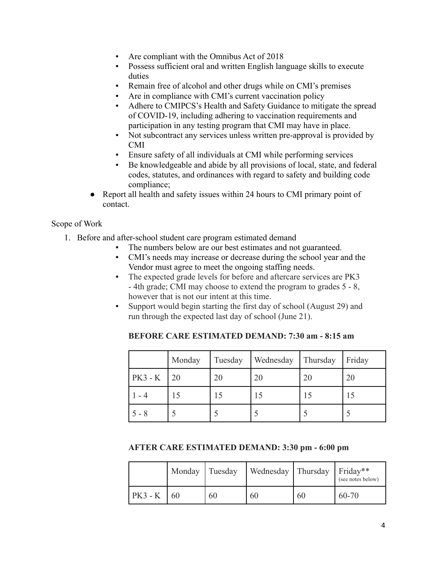- Are compliant with the Omnibus Act of 2018
- Possess sufficient oral and written English language skills to execute duties
- Remain free of alcohol and other drugs while on CMI's premises
- Are in compliance with CMI's current vaccination policy
- Adhere to CMIPCS's Health and Safety Guidance to mitigate the spread of COVID-19, including adhering to vaccination requirements and participation in any testing program that CMI may have in place.
- Not subcontract any services unless written pre-approval is provided by CMI
- Ensure safety of all individuals at CMI while performing services
- Be knowledgeable and abide by all provisions of local, state, and federal codes, statutes, and ordinances with regard to safety and building code compliance;
- Report all health and safety issues within 24 hours to CMI primary point of contact.

## Scope of Work

- 1. Before and after-school student care program estimated demand
	- The numbers below are our best estimates and not guaranteed.
	- CMI's needs may increase or decrease during the school year and the Vendor must agree to meet the ongoing staffing needs.
	- The expected grade levels for before and aftercare services are PK3 - 4th grade; CMI may choose to extend the program to grades 5 - 8, however that is not our intent at this time.
	- Support would begin starting the first day of school (August 29) and run through the expected last day of school (June 21).

|         | Monday | Tuesday | Wednesday | Thursday | Friday |
|---------|--------|---------|-----------|----------|--------|
| PK3 - K | 20     | 20      | 20        | 20       | 20     |
|         |        | L D     | 15        | L J      | 10     |
| $5 - 8$ |        |         |           |          |        |

**BEFORE CARE ESTIMATED DEMAND: 7:30 am - 8:15 am**

## **AFTER CARE ESTIMATED DEMAND: 3:30 pm - 6:00 pm**

|           | Monday Tuesday |    | Wednesday   Thursday   Friday** |    | (see notes below) |
|-----------|----------------|----|---------------------------------|----|-------------------|
| $PK3 - K$ | 60             | 60 | 60                              | 60 | $60 - 70$         |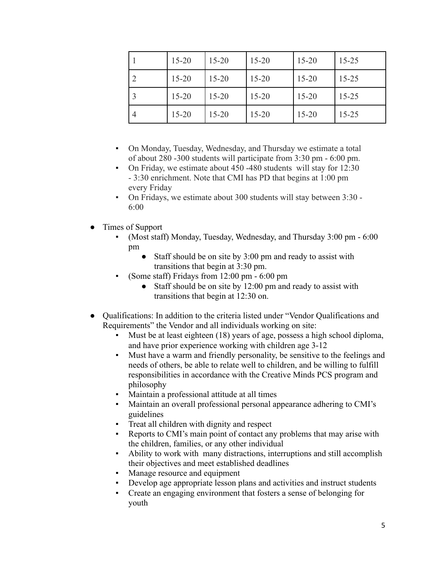| $15 - 20$ | $15 - 20$ | $15 - 20$ | $15 - 20$ | $15 - 25$ |
|-----------|-----------|-----------|-----------|-----------|
| $15 - 20$ | $15 - 20$ | $15 - 20$ | $15 - 20$ | $15 - 25$ |
| $15 - 20$ | $15 - 20$ | $15 - 20$ | $15 - 20$ | $15 - 25$ |
| $15 - 20$ | $15 - 20$ | $15 - 20$ | $15 - 20$ | $15 - 25$ |

- On Monday, Tuesday, Wednesday, and Thursday we estimate a total of about 280 -300 students will participate from 3:30 pm - 6:00 pm.
- On Friday, we estimate about 450 -480 students will stay for 12:30 - 3:30 enrichment. Note that CMI has PD that begins at 1:00 pm every Friday
- On Fridays, we estimate about 300 students will stay between 3:30 6:00
- Times of Support
	- (Most staff) Monday, Tuesday, Wednesday, and Thursday 3:00 pm 6:00 pm
		- Staff should be on site by 3:00 pm and ready to assist with transitions that begin at 3:30 pm.
	- (Some staff) Fridays from  $12:00 \text{ pm}$  6:00 pm
		- Staff should be on site by 12:00 pm and ready to assist with transitions that begin at 12:30 on.
- Qualifications: In addition to the criteria listed under "Vendor Qualifications and Requirements" the Vendor and all individuals working on site:
	- Must be at least eighteen (18) years of age, possess a high school diploma, and have prior experience working with children age 3-12
	- Must have a warm and friendly personality, be sensitive to the feelings and needs of others, be able to relate well to children, and be willing to fulfill responsibilities in accordance with the Creative Minds PCS program and philosophy
	- Maintain a professional attitude at all times
	- Maintain an overall professional personal appearance adhering to CMI's guidelines
	- Treat all children with dignity and respect
	- Reports to CMI's main point of contact any problems that may arise with the children, families, or any other individual
	- Ability to work with many distractions, interruptions and still accomplish their objectives and meet established deadlines
	- Manage resource and equipment
	- Develop age appropriate lesson plans and activities and instruct students
	- Create an engaging environment that fosters a sense of belonging for youth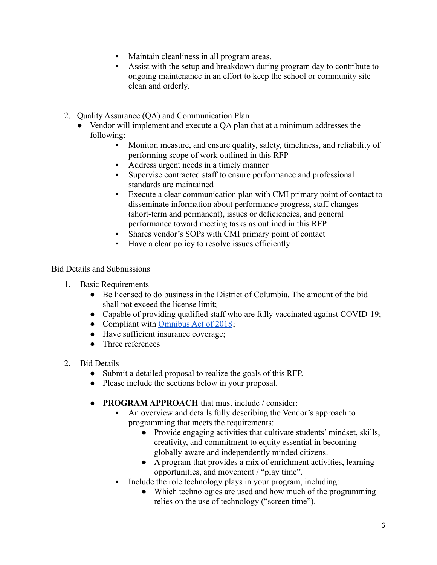- Maintain cleanliness in all program areas.
- Assist with the setup and breakdown during program day to contribute to ongoing maintenance in an effort to keep the school or community site clean and orderly.
- 2. Quality Assurance (QA) and Communication Plan
	- Vendor will implement and execute a QA plan that at a minimum addresses the following:
		- Monitor, measure, and ensure quality, safety, timeliness, and reliability of performing scope of work outlined in this RFP
		- Address urgent needs in a timely manner
		- Supervise contracted staff to ensure performance and professional standards are maintained
		- Execute a clear communication plan with CMI primary point of contact to disseminate information about performance progress, staff changes (short-term and permanent), issues or deficiencies, and general performance toward meeting tasks as outlined in this RFP
		- Shares vendor's SOPs with CMI primary point of contact
		- Have a clear policy to resolve issues efficiently

Bid Details and Submissions

- 1. Basic Requirements
	- Be licensed to do business in the District of Columbia. The amount of the bid shall not exceed the license limit;
	- Capable of providing qualified staff who are fully vaccinated against COVID-19;
	- Compliant with [Omnibus Act of 2018](https://osse.dc.gov/page/school-safety-omnibus-amendment-act-2018-ssoaa);
	- Have sufficient insurance coverage;
	- Three references
- 2. Bid Details
	- Submit a detailed proposal to realize the goals of this RFP.
	- Please include the sections below in your proposal.
	- **PROGRAM APPROACH** that must include / consider:
		- An overview and details fully describing the Vendor's approach to programming that meets the requirements:
			- Provide engaging activities that cultivate students' mindset, skills, creativity, and commitment to equity essential in becoming globally aware and independently minded citizens.
			- A program that provides a mix of enrichment activities, learning opportunities, and movement / "play time".
		- Include the role technology plays in your program, including:
			- Which technologies are used and how much of the programming relies on the use of technology ("screen time").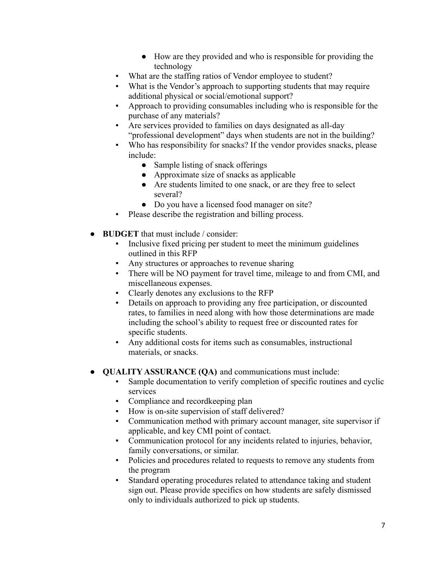- How are they provided and who is responsible for providing the technology
- What are the staffing ratios of Vendor employee to student?
- What is the Vendor's approach to supporting students that may require additional physical or social/emotional support?
- Approach to providing consumables including who is responsible for the purchase of any materials?
- Are services provided to families on days designated as all-day "professional development" days when students are not in the building?
- Who has responsibility for snacks? If the vendor provides snacks, please include:
	- Sample listing of snack offerings
	- Approximate size of snacks as applicable
	- Are students limited to one snack, or are they free to select several?
	- Do you have a licensed food manager on site?
- Please describe the registration and billing process.
- **BUDGET** that must include / consider:
	- Inclusive fixed pricing per student to meet the minimum guidelines outlined in this RFP
	- Any structures or approaches to revenue sharing
	- There will be NO payment for travel time, mileage to and from CMI, and miscellaneous expenses.
	- Clearly denotes any exclusions to the RFP
	- *▪* Details on approach to providing any free participation, or discounted rates, to families in need along with how those determinations are made including the school's ability to request free or discounted rates for specific students.
	- Any additional costs for items such as consumables, instructional materials, or snacks.
- **QUALITY ASSURANCE (QA)** and communications must include:
	- Sample documentation to verify completion of specific routines and cyclic services
	- Compliance and record keeping plan
	- How is on-site supervision of staff delivered?
	- Communication method with primary account manager, site supervisor if applicable, and key CMI point of contact.
	- Communication protocol for any incidents related to injuries, behavior, family conversations, or similar.
	- Policies and procedures related to requests to remove any students from the program
	- Standard operating procedures related to attendance taking and student sign out. Please provide specifics on how students are safely dismissed only to individuals authorized to pick up students.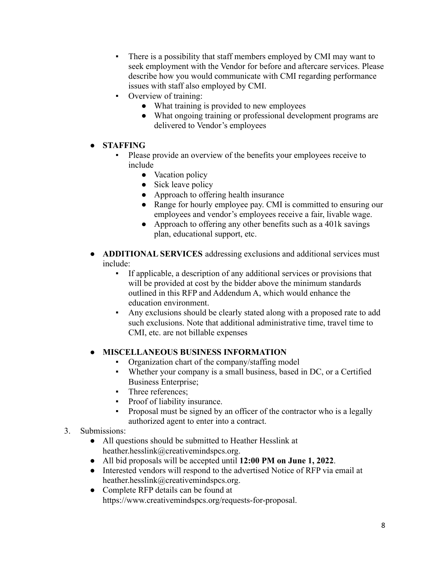- There is a possibility that staff members employed by CMI may want to seek employment with the Vendor for before and aftercare services. Please describe how you would communicate with CMI regarding performance issues with staff also employed by CMI.
- Overview of training:
	- What training is provided to new employees
	- What ongoing training or professional development programs are delivered to Vendor's employees
- **STAFFING**
	- Please provide an overview of the benefits your employees receive to include
		- Vacation policy
		- Sick leave policy
		- Approach to offering health insurance
		- Range for hourly employee pay. CMI is committed to ensuring our employees and vendor's employees receive a fair, livable wage.
		- Approach to offering any other benefits such as a 401k savings plan, educational support, etc.
- **ADDITIONAL SERVICES** addressing exclusions and additional services must include:
	- If applicable, a description of any additional services or provisions that will be provided at cost by the bidder above the minimum standards outlined in this RFP and Addendum A, which would enhance the education environment.
	- Any exclusions should be clearly stated along with a proposed rate to add such exclusions. Note that additional administrative time, travel time to CMI, etc. are not billable expenses

## **● MISCELLANEOUS BUSINESS INFORMATION**

- Organization chart of the company/staffing model
- Whether your company is a small business, based in DC, or a Certified Business Enterprise;
- **•** Three references;
- Proof of liability insurance.
- Proposal must be signed by an officer of the contractor who is a legally authorized agent to enter into a contract.

## 3. Submissions:

- All questions should be submitted to Heather Hesslink at heather.hesslink@creativemindspcs.org.
- All bid proposals will be accepted until **12:00 PM on June 1, 2022**.
- Interested vendors will respond to the advertised Notice of RFP via email at heather.hesslink@creativemindspcs.org.
- Complete RFP details can be found at https://www.creativemindspcs.org/requests-for-proposal.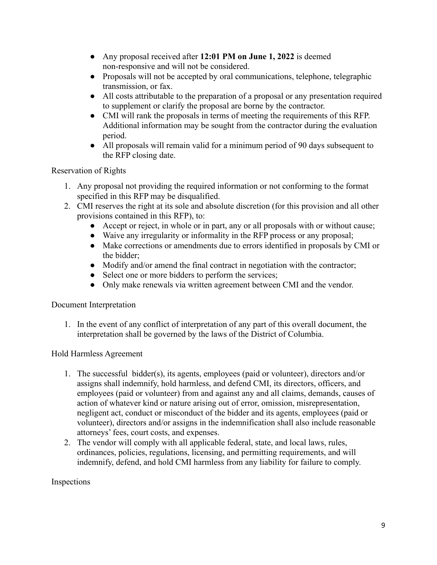- Any proposal received after **12:01 PM on June 1, 2022** is deemed non-responsive and will not be considered.
- Proposals will not be accepted by oral communications, telephone, telegraphic transmission, or fax.
- All costs attributable to the preparation of a proposal or any presentation required to supplement or clarify the proposal are borne by the contractor.
- CMI will rank the proposals in terms of meeting the requirements of this RFP. Additional information may be sought from the contractor during the evaluation period.
- All proposals will remain valid for a minimum period of 90 days subsequent to the RFP closing date.

Reservation of Rights

- 1. Any proposal not providing the required information or not conforming to the format specified in this RFP may be disqualified.
- 2. CMI reserves the right at its sole and absolute discretion (for this provision and all other provisions contained in this RFP), to:
	- Accept or reject, in whole or in part, any or all proposals with or without cause;
	- Waive any irregularity or informality in the RFP process or any proposal;
	- Make corrections or amendments due to errors identified in proposals by CMI or the bidder;
	- Modify and/or amend the final contract in negotiation with the contractor;
	- Select one or more bidders to perform the services;
	- Only make renewals via written agreement between CMI and the vendor.

Document Interpretation

1. In the event of any conflict of interpretation of any part of this overall document, the interpretation shall be governed by the laws of the District of Columbia.

Hold Harmless Agreement

- 1. The successful bidder(s), its agents, employees (paid or volunteer), directors and/or assigns shall indemnify, hold harmless, and defend CMI, its directors, officers, and employees (paid or volunteer) from and against any and all claims, demands, causes of action of whatever kind or nature arising out of error, omission, misrepresentation, negligent act, conduct or misconduct of the bidder and its agents, employees (paid or volunteer), directors and/or assigns in the indemnification shall also include reasonable attorneys' fees, court costs, and expenses.
- 2. The vendor will comply with all applicable federal, state, and local laws, rules, ordinances, policies, regulations, licensing, and permitting requirements, and will indemnify, defend, and hold CMI harmless from any liability for failure to comply.

Inspections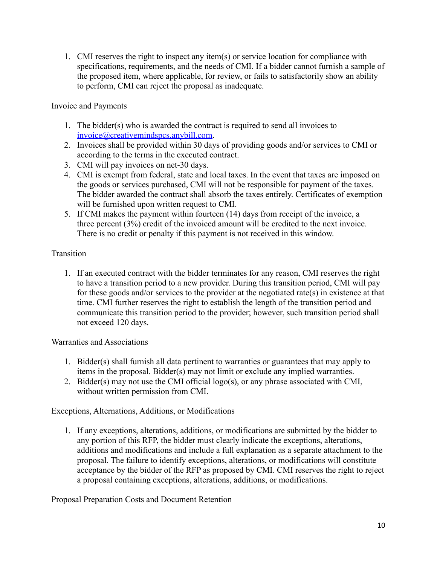1. CMI reserves the right to inspect any item(s) or service location for compliance with specifications, requirements, and the needs of CMI. If a bidder cannot furnish a sample of the proposed item, where applicable, for review, or fails to satisfactorily show an ability to perform, CMI can reject the proposal as inadequate.

## Invoice and Payments

- 1. The bidder(s) who is awarded the contract is required to send all invoices to [invoice@creativemindspcs.anybill.com.](mailto:invoice@creativemindspcs.anybill.com)
- 2. Invoices shall be provided within 30 days of providing goods and/or services to CMI or according to the terms in the executed contract.
- 3. CMI will pay invoices on net-30 days.
- 4. CMI is exempt from federal, state and local taxes. In the event that taxes are imposed on the goods or services purchased, CMI will not be responsible for payment of the taxes. The bidder awarded the contract shall absorb the taxes entirely. Certificates of exemption will be furnished upon written request to CMI.
- 5. If CMI makes the payment within fourteen (14) days from receipt of the invoice, a three percent (3%) credit of the invoiced amount will be credited to the next invoice. There is no credit or penalty if this payment is not received in this window.

# **Transition**

1. If an executed contract with the bidder terminates for any reason, CMI reserves the right to have a transition period to a new provider. During this transition period, CMI will pay for these goods and/or services to the provider at the negotiated rate(s) in existence at that time. CMI further reserves the right to establish the length of the transition period and communicate this transition period to the provider; however, such transition period shall not exceed 120 days.

## Warranties and Associations

- 1. Bidder(s) shall furnish all data pertinent to warranties or guarantees that may apply to items in the proposal. Bidder(s) may not limit or exclude any implied warranties.
- 2. Bidder(s) may not use the CMI official logo(s), or any phrase associated with CMI, without written permission from CMI.

Exceptions, Alternations, Additions, or Modifications

1. If any exceptions, alterations, additions, or modifications are submitted by the bidder to any portion of this RFP, the bidder must clearly indicate the exceptions, alterations, additions and modifications and include a full explanation as a separate attachment to the proposal. The failure to identify exceptions, alterations, or modifications will constitute acceptance by the bidder of the RFP as proposed by CMI. CMI reserves the right to reject a proposal containing exceptions, alterations, additions, or modifications.

Proposal Preparation Costs and Document Retention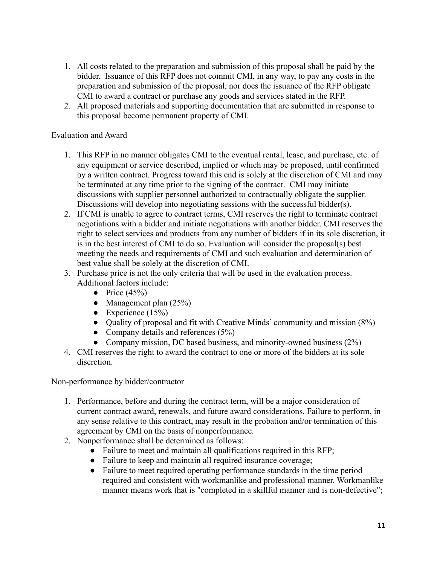- 1. All costs related to the preparation and submission of this proposal shall be paid by the bidder. Issuance of this RFP does not commit CMI, in any way, to pay any costs in the preparation and submission of the proposal, nor does the issuance of the RFP obligate CMI to award a contract or purchase any goods and services stated in the RFP.
- 2. All proposed materials and supporting documentation that are submitted in response to this proposal become permanent property of CMI.

## Evaluation and Award

- 1. This RFP in no manner obligates CMI to the eventual rental, lease, and purchase, etc. of any equipment or service described, implied or which may be proposed, until confirmed by a written contract. Progress toward this end is solely at the discretion of CMI and may be terminated at any time prior to the signing of the contract. CMI may initiate discussions with supplier personnel authorized to contractually obligate the supplier. Discussions will develop into negotiating sessions with the successful bidder(s).
- 2. If CMI is unable to agree to contract terms, CMI reserves the right to terminate contract negotiations with a bidder and initiate negotiations with another bidder. CMI reserves the right to select services and products from any number of bidders if in its sole discretion, it is in the best interest of CMI to do so. Evaluation will consider the proposal(s) best meeting the needs and requirements of CMI and such evaluation and determination of best value shall be solely at the discretion of CMI.
- 3. Purchase price is not the only criteria that will be used in the evaluation process. Additional factors include:
	- Price  $(45%)$
	- Management plan  $(25%)$
	- Experience  $(15\%)$
	- Quality of proposal and fit with Creative Minds' community and mission (8%)
	- Company details and references  $(5\%)$
	- Company mission, DC based business, and minority-owned business (2%)
- 4. CMI reserves the right to award the contract to one or more of the bidders at its sole discretion.

Non-performance by bidder/contractor

- 1. Performance, before and during the contract term, will be a major consideration of current contract award, renewals, and future award considerations. Failure to perform, in any sense relative to this contract, may result in the probation and/or termination of this agreement by CMI on the basis of nonperformance.
- 2. Nonperformance shall be determined as follows:
	- Failure to meet and maintain all qualifications required in this RFP;
	- Failure to keep and maintain all required insurance coverage;
	- Failure to meet required operating performance standards in the time period required and consistent with workmanlike and professional manner. Workmanlike manner means work that is "completed in a skillful manner and is non-defective";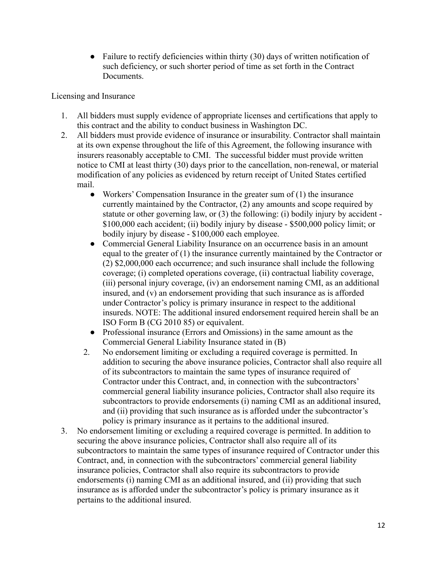$\bullet$  Failure to rectify deficiencies within thirty (30) days of written notification of such deficiency, or such shorter period of time as set forth in the Contract **Documents** 

Licensing and Insurance

- 1. All bidders must supply evidence of appropriate licenses and certifications that apply to this contract and the ability to conduct business in Washington DC.
- 2. All bidders must provide evidence of insurance or insurability. Contractor shall maintain at its own expense throughout the life of this Agreement, the following insurance with insurers reasonably acceptable to CMI. The successful bidder must provide written notice to CMI at least thirty (30) days prior to the cancellation, non-renewal, or material modification of any policies as evidenced by return receipt of United States certified mail.
	- Workers' Compensation Insurance in the greater sum of (1) the insurance currently maintained by the Contractor, (2) any amounts and scope required by statute or other governing law, or (3) the following: (i) bodily injury by accident - \$100,000 each accident; (ii) bodily injury by disease - \$500,000 policy limit; or bodily injury by disease - \$100,000 each employee.
	- Commercial General Liability Insurance on an occurrence basis in an amount equal to the greater of (1) the insurance currently maintained by the Contractor or (2) \$2,000,000 each occurrence; and such insurance shall include the following coverage; (i) completed operations coverage, (ii) contractual liability coverage, (iii) personal injury coverage, (iv) an endorsement naming CMI, as an additional insured, and (v) an endorsement providing that such insurance as is afforded under Contractor's policy is primary insurance in respect to the additional insureds. NOTE: The additional insured endorsement required herein shall be an ISO Form B (CG 2010 85) or equivalent.
	- Professional insurance (Errors and Omissions) in the same amount as the Commercial General Liability Insurance stated in (B)
	- 2. No endorsement limiting or excluding a required coverage is permitted. In addition to securing the above insurance policies, Contractor shall also require all of its subcontractors to maintain the same types of insurance required of Contractor under this Contract, and, in connection with the subcontractors' commercial general liability insurance policies, Contractor shall also require its subcontractors to provide endorsements (i) naming CMI as an additional insured, and (ii) providing that such insurance as is afforded under the subcontractor's policy is primary insurance as it pertains to the additional insured.
- 3. No endorsement limiting or excluding a required coverage is permitted. In addition to securing the above insurance policies, Contractor shall also require all of its subcontractors to maintain the same types of insurance required of Contractor under this Contract, and, in connection with the subcontractors' commercial general liability insurance policies, Contractor shall also require its subcontractors to provide endorsements (i) naming CMI as an additional insured, and (ii) providing that such insurance as is afforded under the subcontractor's policy is primary insurance as it pertains to the additional insured.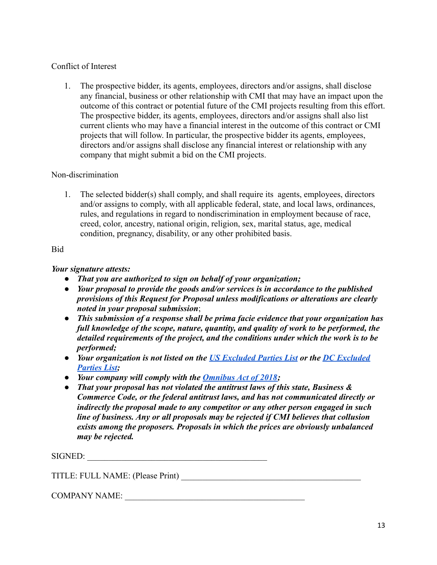# Conflict of Interest

1. The prospective bidder, its agents, employees, directors and/or assigns, shall disclose any financial, business or other relationship with CMI that may have an impact upon the outcome of this contract or potential future of the CMI projects resulting from this effort. The prospective bidder, its agents, employees, directors and/or assigns shall also list current clients who may have a financial interest in the outcome of this contract or CMI projects that will follow. In particular, the prospective bidder its agents, employees, directors and/or assigns shall disclose any financial interest or relationship with any company that might submit a bid on the CMI projects.

# Non-discrimination

1. The selected bidder(s) shall comply, and shall require its agents, employees, directors and/or assigns to comply, with all applicable federal, state, and local laws, ordinances, rules, and regulations in regard to nondiscrimination in employment because of race, creed, color, ancestry, national origin, religion, sex, marital status, age, medical condition, pregnancy, disability, or any other prohibited basis.

# Bid

# *Your signature attests:*

- *● That you are authorized to sign on behalf of your organization;*
- *● Your proposal to provide the goods and/or services is in accordance to the published provisions of this Request for Proposal unless modifications or alterations are clearly noted in your proposal submission*;
- *● This submission of a response shall be prima facie evidence that your organization has full knowledge of the scope, nature, quantity, and quality of work to be performed, the detailed requirements of the project, and the conditions under which the work is to be performed;*
- *● Your organization is not listed on the [US Excluded](https://sam.gov/SAM/) Parties List or the [DC Excluded](https://ocp.dc.gov/page/excluded-parties-list) [Parties List](https://ocp.dc.gov/page/excluded-parties-list);*
- *● Your company will comply with the [Omnibus Act of 2018](https://osse.dc.gov/page/school-safety-omnibus-amendment-act-2018-ssoaa);*
- *● That your proposal has not violated the antitrust laws of this state, Business & Commerce Code, or the federal antitrust laws, and has not communicated directly or indirectly the proposal made to any competitor or any other person engaged in such line of business. Any or all proposals may be rejected if CMI believes that collusion exists among the proposers. Proposals in which the prices are obviously unbalanced may be rejected.*

SIGNED:

TITLE: FULL NAME: (Please Print) \_\_\_\_\_\_\_\_\_\_\_\_\_\_\_\_\_\_\_\_\_\_\_\_\_\_\_\_\_\_\_\_\_\_\_\_\_\_\_\_\_\_

COMPANY NAME: \_\_\_\_\_\_\_\_\_\_\_\_\_\_\_\_\_\_\_\_\_\_\_\_\_\_\_\_\_\_\_\_\_\_\_\_\_\_\_\_\_\_